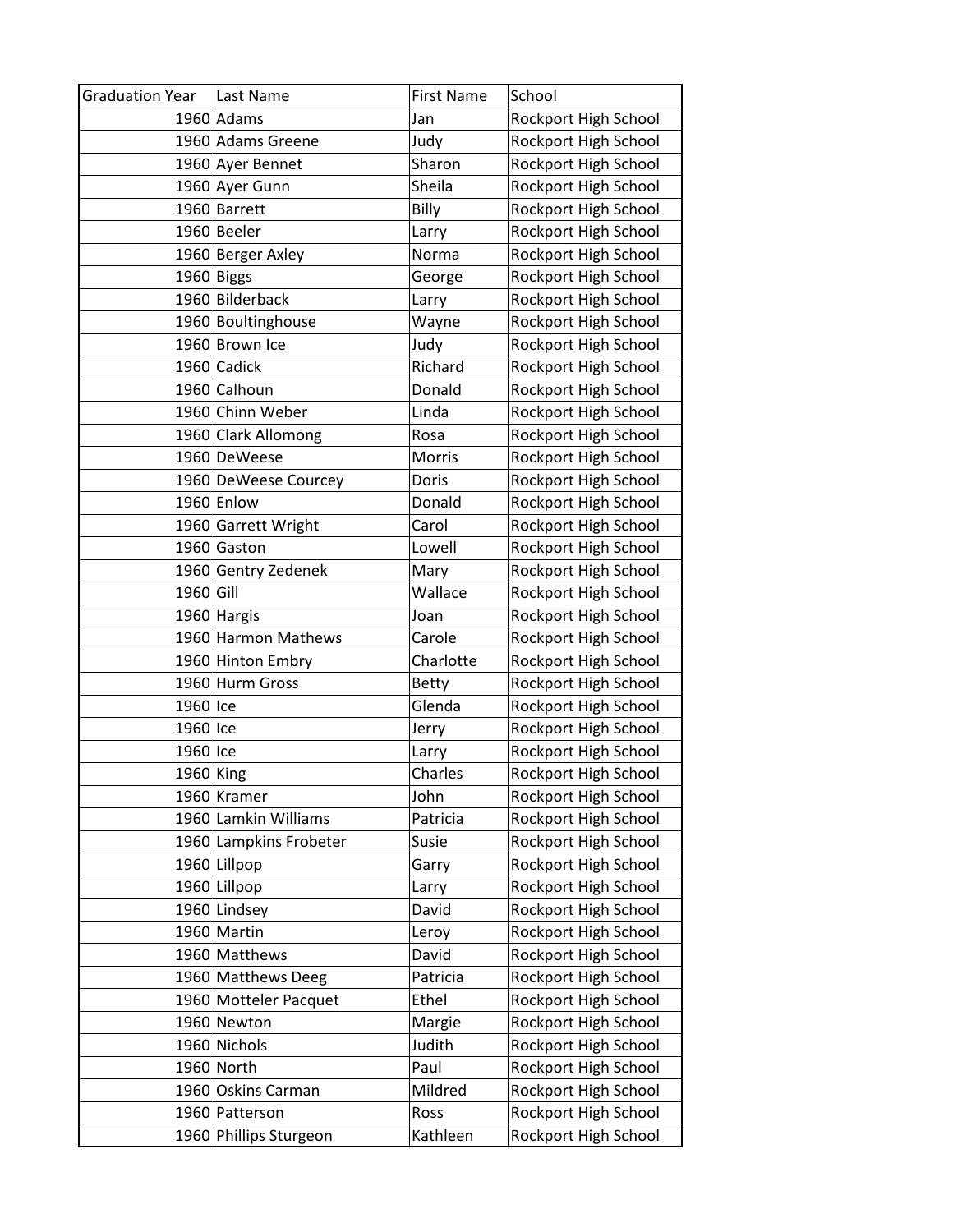| <b>Graduation Year</b> | Last Name              | <b>First Name</b> | School               |
|------------------------|------------------------|-------------------|----------------------|
|                        | 1960 Adams             | Jan               | Rockport High School |
|                        | 1960 Adams Greene      | Judy              | Rockport High School |
|                        | 1960 Ayer Bennet       | Sharon            | Rockport High School |
|                        | 1960 Ayer Gunn         | Sheila            | Rockport High School |
|                        | 1960 Barrett           | Billy             | Rockport High School |
|                        | 1960 Beeler            | Larry             | Rockport High School |
|                        | 1960 Berger Axley      | Norma             | Rockport High School |
|                        | 1960 Biggs             | George            | Rockport High School |
|                        | 1960 Bilderback        | Larry             | Rockport High School |
|                        | 1960 Boultinghouse     | Wayne             | Rockport High School |
|                        | 1960 Brown Ice         | Judy              | Rockport High School |
|                        | 1960 Cadick            | Richard           | Rockport High School |
|                        | 1960 Calhoun           | Donald            | Rockport High School |
|                        | 1960 Chinn Weber       | Linda             | Rockport High School |
|                        | 1960 Clark Allomong    | Rosa              | Rockport High School |
|                        | 1960 DeWeese           | Morris            | Rockport High School |
|                        | 1960 DeWeese Courcey   | Doris             | Rockport High School |
|                        | 1960 Enlow             | Donald            | Rockport High School |
|                        | 1960 Garrett Wright    | Carol             | Rockport High School |
|                        | 1960 Gaston            | Lowell            | Rockport High School |
|                        | 1960 Gentry Zedenek    | Mary              | Rockport High School |
| 1960 Gill              |                        | Wallace           | Rockport High School |
|                        | 1960 Hargis            | Joan              | Rockport High School |
|                        | 1960 Harmon Mathews    | Carole            | Rockport High School |
|                        | 1960 Hinton Embry      | Charlotte         | Rockport High School |
|                        | 1960 Hurm Gross        | <b>Betty</b>      | Rockport High School |
| 1960 Ice               |                        | Glenda            | Rockport High School |
| 1960 Ice               |                        | Jerry             | Rockport High School |
| 1960 Ice               |                        | Larry             | Rockport High School |
| $1960$ King            |                        | Charles           | Rockport High School |
|                        | 1960 Kramer            | John              | Rockport High School |
|                        | 1960 Lamkin Williams   | Patricia          | Rockport High School |
|                        | 1960 Lampkins Frobeter | Susie             | Rockport High School |
|                        | 1960 Lillpop           | Garry             | Rockport High School |
|                        | 1960 Lillpop           | Larry             | Rockport High School |
|                        | 1960 Lindsey           | David             | Rockport High School |
|                        | 1960 Martin            | Leroy             | Rockport High School |
|                        | 1960 Matthews          | David             | Rockport High School |
|                        | 1960 Matthews Deeg     | Patricia          | Rockport High School |
|                        | 1960 Motteler Pacquet  | Ethel             | Rockport High School |
|                        | 1960 Newton            | Margie            | Rockport High School |
|                        | 1960 Nichols           | Judith            | Rockport High School |
|                        | 1960 North             | Paul              | Rockport High School |
|                        | 1960 Oskins Carman     | Mildred           | Rockport High School |
|                        | 1960 Patterson         | Ross              | Rockport High School |
|                        | 1960 Phillips Sturgeon | Kathleen          | Rockport High School |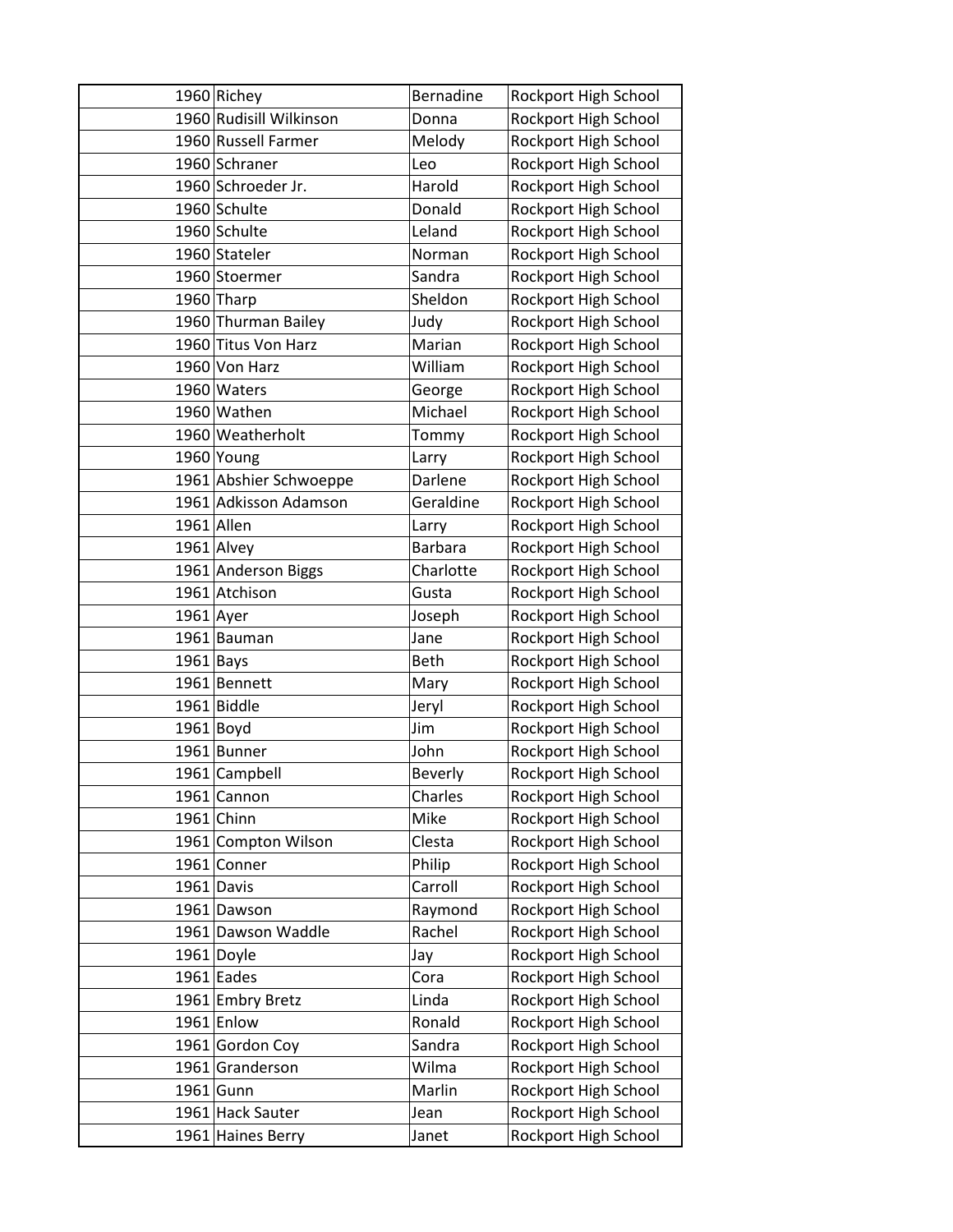|             | 1960 Richey             | Bernadine      | Rockport High School |
|-------------|-------------------------|----------------|----------------------|
|             | 1960 Rudisill Wilkinson | Donna          | Rockport High School |
|             | 1960 Russell Farmer     | Melody         | Rockport High School |
|             | 1960 Schraner           | Leo            | Rockport High School |
|             | 1960 Schroeder Jr.      | Harold         | Rockport High School |
|             | 1960 Schulte            | Donald         | Rockport High School |
|             | 1960 Schulte            | Leland         | Rockport High School |
|             | 1960 Stateler           | Norman         | Rockport High School |
|             | 1960 Stoermer           | Sandra         | Rockport High School |
|             | 1960 Tharp              | Sheldon        | Rockport High School |
|             | 1960 Thurman Bailey     | Judy           | Rockport High School |
|             | 1960 Titus Von Harz     | Marian         | Rockport High School |
|             | 1960 Von Harz           | William        | Rockport High School |
|             | 1960 Waters             | George         | Rockport High School |
|             | 1960 Wathen             | Michael        | Rockport High School |
|             | 1960 Weatherholt        | Tommy          | Rockport High School |
|             | 1960 Young              | Larry          | Rockport High School |
|             | 1961 Abshier Schwoeppe  | Darlene        | Rockport High School |
|             | 1961 Adkisson Adamson   | Geraldine      | Rockport High School |
|             | 1961 Allen              | Larry          | Rockport High School |
|             | 1961 Alvey              | <b>Barbara</b> | Rockport High School |
|             | 1961 Anderson Biggs     | Charlotte      | Rockport High School |
|             | 1961 Atchison           | Gusta          | Rockport High School |
| $1961$ Ayer |                         | Joseph         | Rockport High School |
|             | 1961 Bauman             | Jane           | Rockport High School |
| $1961$ Bays |                         | <b>Beth</b>    | Rockport High School |
|             | 1961 Bennett            | Mary           | Rockport High School |
|             | 1961 Biddle             | Jeryl          | Rockport High School |
|             | $1961$ Boyd             | Jim            | Rockport High School |
|             | 1961 Bunner             | John           | Rockport High School |
|             | 1961 Campbell           | <b>Beverly</b> | Rockport High School |
|             | 1961 Cannon             | Charles        | Rockport High School |
|             | $1961$ Chinn            | Mike           | Rockport High School |
|             | 1961 Compton Wilson     | Clesta         | Rockport High School |
|             | 1961 Conner             | Philip         | Rockport High School |
|             | 1961 Davis              | Carroll        | Rockport High School |
|             | 1961 Dawson             | Raymond        | Rockport High School |
|             | 1961 Dawson Waddle      | Rachel         | Rockport High School |
|             | 1961 Doyle              | Jay            | Rockport High School |
|             | $1961$ Eades            | Cora           | Rockport High School |
|             | 1961 Embry Bretz        | Linda          | Rockport High School |
|             | 1961 Enlow              | Ronald         | Rockport High School |
|             | 1961 Gordon Coy         | Sandra         | Rockport High School |
|             | 1961 Granderson         | Wilma          | Rockport High School |
|             | $1961$ Gunn             | Marlin         | Rockport High School |
|             | 1961 Hack Sauter        | Jean           | Rockport High School |
|             | 1961 Haines Berry       | Janet          | Rockport High School |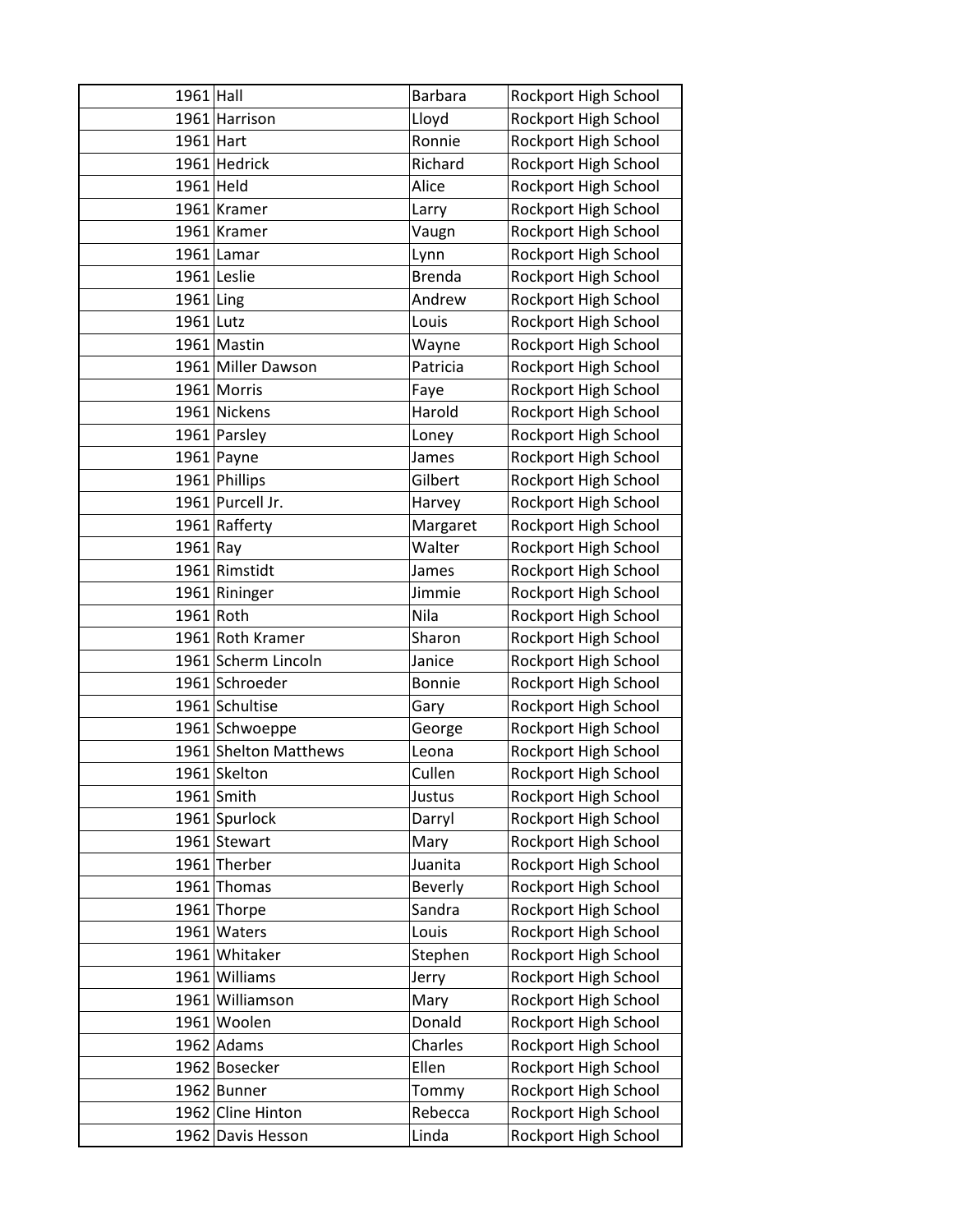| $1961$ Hall |                       | Barbara        | Rockport High School |
|-------------|-----------------------|----------------|----------------------|
|             | 1961 Harrison         | Lloyd          | Rockport High School |
| $1961$ Hart |                       | Ronnie         | Rockport High School |
|             | 1961 Hedrick          | Richard        | Rockport High School |
| $1961$ Held |                       | Alice          | Rockport High School |
|             | 1961 Kramer           | Larry          | Rockport High School |
|             | 1961 Kramer           | Vaugn          | Rockport High School |
|             | $1961$  Lamar         | Lynn           | Rockport High School |
|             | 1961 Leslie           | <b>Brenda</b>  | Rockport High School |
| $1961$ Ling |                       | Andrew         | Rockport High School |
| $1961$ Lutz |                       | Louis          | Rockport High School |
|             | 1961 Mastin           | Wayne          | Rockport High School |
|             | 1961 Miller Dawson    | Patricia       | Rockport High School |
|             | 1961 Morris           | Faye           | Rockport High School |
|             | 1961 Nickens          | Harold         | Rockport High School |
|             | 1961 Parsley          | Loney          | Rockport High School |
|             | $1961$ Payne          | James          | Rockport High School |
|             | 1961 Phillips         | Gilbert        | Rockport High School |
|             | 1961 Purcell Jr.      | Harvey         | Rockport High School |
|             | 1961 Rafferty         | Margaret       | Rockport High School |
| $1961$ Ray  |                       | Walter         | Rockport High School |
|             | 1961 Rimstidt         | James          | Rockport High School |
|             | 1961 Rininger         | Jimmie         | Rockport High School |
| 1961 Roth   |                       | Nila           | Rockport High School |
|             | 1961 Roth Kramer      | Sharon         | Rockport High School |
|             | 1961 Scherm Lincoln   | Janice         | Rockport High School |
|             | 1961 Schroeder        | <b>Bonnie</b>  | Rockport High School |
|             | 1961 Schultise        | Gary           | Rockport High School |
|             | 1961 Schwoeppe        | George         | Rockport High School |
|             | 1961 Shelton Matthews | Leona          | Rockport High School |
|             | 1961 Skelton          | Cullen         | Rockport High School |
|             | $1961$ Smith          | Justus         | Rockport High School |
|             | 1961 Spurlock         | Darryl         | Rockport High School |
|             | 1961 Stewart          | Mary           | Rockport High School |
|             | 1961 Therber          | Juanita        | Rockport High School |
|             | 1961 Thomas           | <b>Beverly</b> | Rockport High School |
|             | 1961 Thorpe           | Sandra         | Rockport High School |
|             | 1961 Waters           | Louis          | Rockport High School |
|             | 1961 Whitaker         | Stephen        | Rockport High School |
|             | 1961 Williams         | Jerry          | Rockport High School |
|             | 1961 Williamson       | Mary           | Rockport High School |
|             | 1961 Woolen           | Donald         | Rockport High School |
|             | $1962$ Adams          | Charles        | Rockport High School |
|             | 1962 Bosecker         | Ellen          | Rockport High School |
|             | 1962 Bunner           | Tommy          | Rockport High School |
|             | 1962 Cline Hinton     | Rebecca        | Rockport High School |
|             | 1962 Davis Hesson     | Linda          | Rockport High School |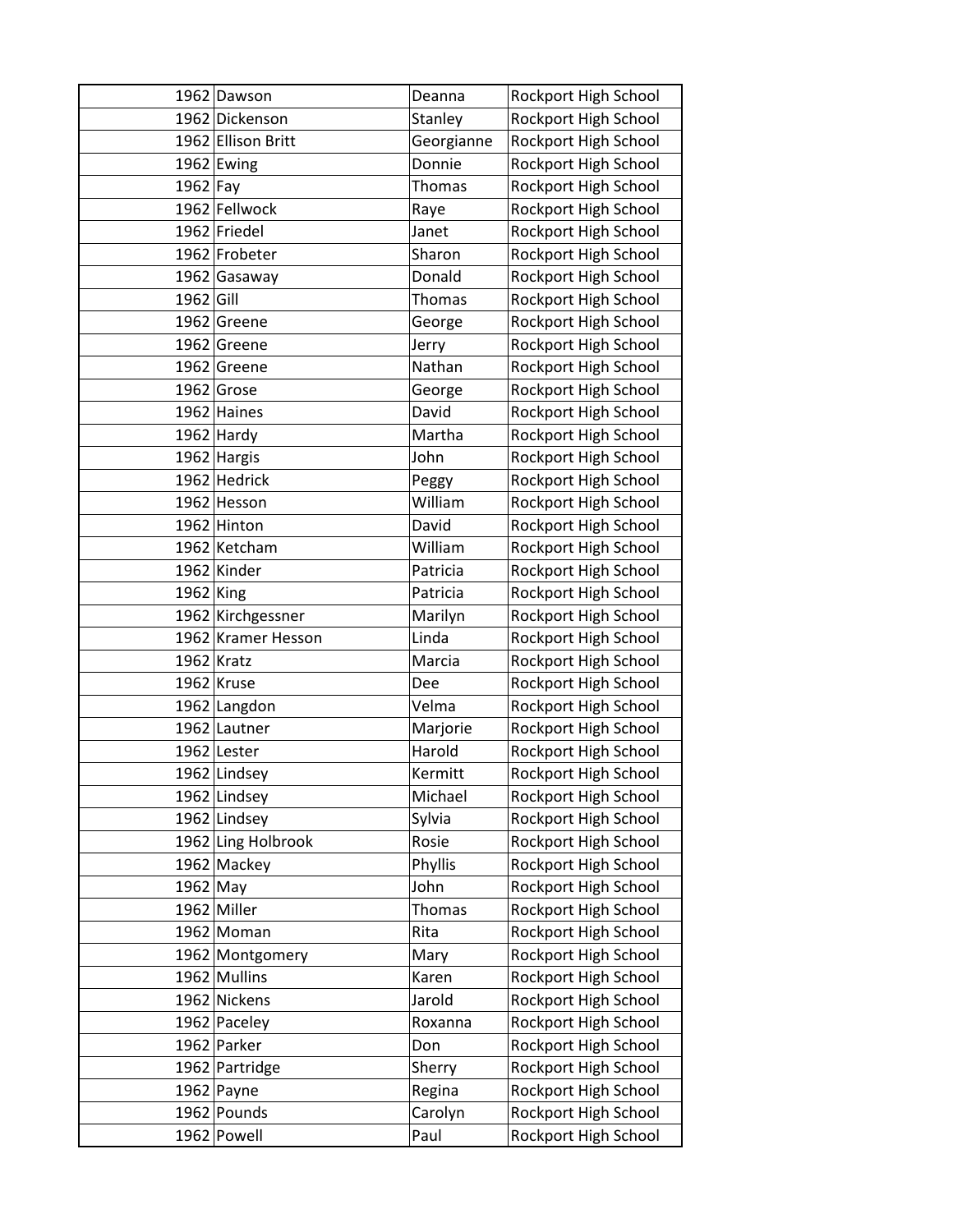|            | 1962 Dawson        | Deanna        | Rockport High School |
|------------|--------------------|---------------|----------------------|
|            | 1962 Dickenson     | Stanley       | Rockport High School |
|            | 1962 Ellison Britt | Georgianne    | Rockport High School |
|            | 1962 Ewing         | Donnie        | Rockport High School |
| $1962$ Fay |                    | <b>Thomas</b> | Rockport High School |
|            | 1962 Fellwock      | Raye          | Rockport High School |
|            | 1962 Friedel       | Janet         | Rockport High School |
|            | 1962 Frobeter      | Sharon        | Rockport High School |
|            | 1962 Gasaway       | Donald        | Rockport High School |
| 1962 Gill  |                    | Thomas        | Rockport High School |
|            | 1962 Greene        | George        | Rockport High School |
|            | 1962 Greene        | Jerry         | Rockport High School |
|            | 1962 Greene        | Nathan        | Rockport High School |
|            | 1962 Grose         | George        | Rockport High School |
|            | 1962 Haines        | David         | Rockport High School |
|            | $1962$ Hardy       | Martha        | Rockport High School |
|            | 1962 Hargis        | John          | Rockport High School |
|            | 1962 Hedrick       | Peggy         | Rockport High School |
|            | 1962 Hesson        | William       | Rockport High School |
|            | 1962 Hinton        | David         | Rockport High School |
|            | 1962 Ketcham       | William       | Rockport High School |
|            | 1962 Kinder        | Patricia      | Rockport High School |
| 1962 King  |                    | Patricia      | Rockport High School |
|            | 1962 Kirchgessner  | Marilyn       | Rockport High School |
|            | 1962 Kramer Hesson | Linda         | Rockport High School |
|            | 1962 Kratz         | Marcia        | Rockport High School |
|            | $1962$ Kruse       | Dee           | Rockport High School |
|            | 1962 Langdon       | Velma         | Rockport High School |
|            | 1962 Lautner       | Marjorie      | Rockport High School |
|            | 1962 Lester        | Harold        | Rockport High School |
|            | 1962 Lindsey       | Kermitt       | Rockport High School |
|            | 1962 Lindsey       | Michael       | Rockport High School |
|            | 1962 Lindsey       | Sylvia        | Rockport High School |
|            | 1962 Ling Holbrook | Rosie         | Rockport High School |
|            | 1962 Mackey        | Phyllis       | Rockport High School |
| 1962 May   |                    | John          | Rockport High School |
|            | 1962 Miller        | Thomas        | Rockport High School |
|            | 1962 Moman         | Rita          | Rockport High School |
|            | 1962 Montgomery    | Mary          | Rockport High School |
|            | 1962 Mullins       | Karen         | Rockport High School |
|            | 1962 Nickens       | Jarold        | Rockport High School |
|            | 1962 Paceley       | Roxanna       | Rockport High School |
|            | 1962 Parker        | Don           | Rockport High School |
|            | 1962 Partridge     | Sherry        | Rockport High School |
|            | $1962$ Payne       | Regina        | Rockport High School |
|            | 1962 Pounds        | Carolyn       | Rockport High School |
|            | 1962 Powell        | Paul          | Rockport High School |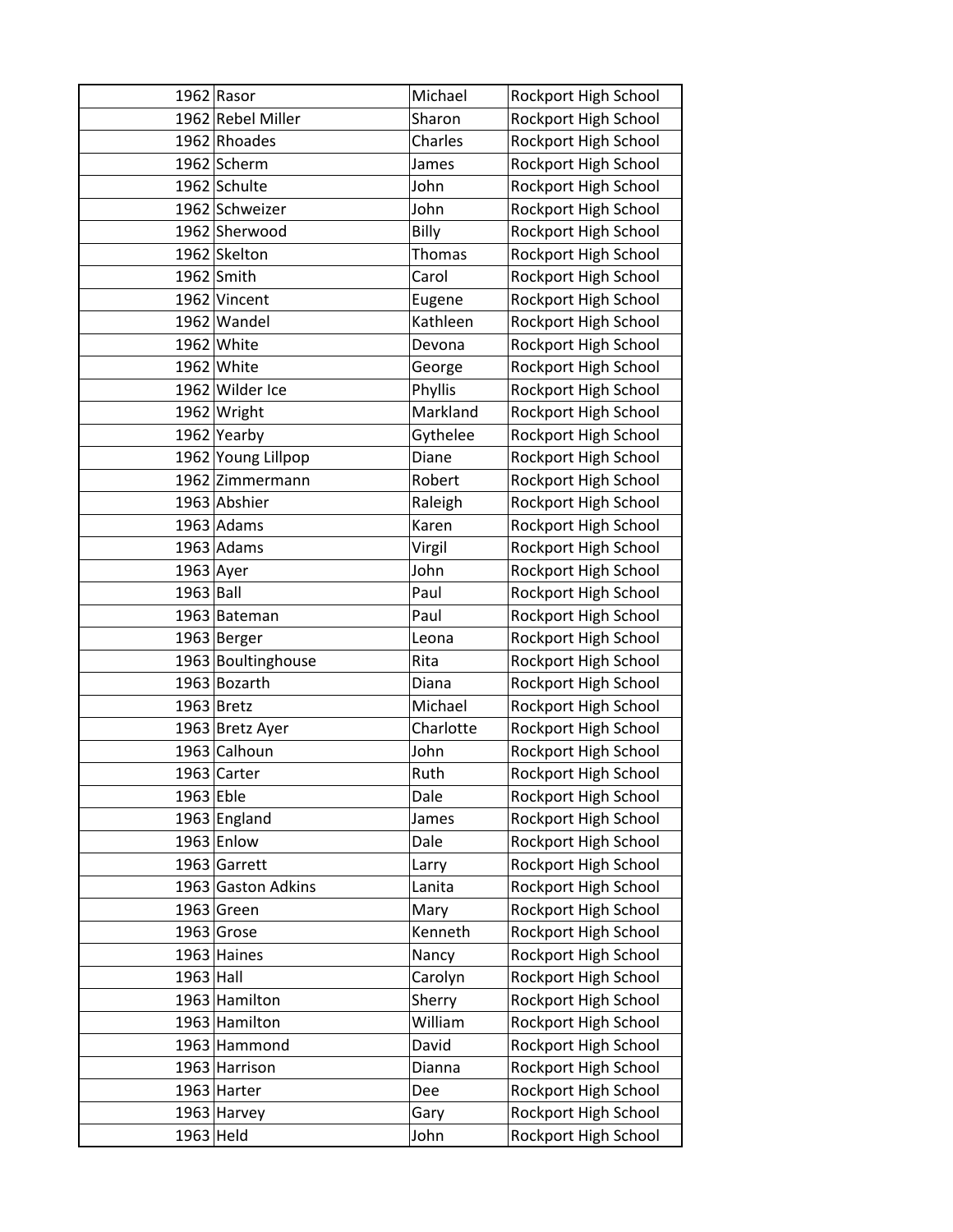|             | $1962$ Rasor       | Michael       | Rockport High School |
|-------------|--------------------|---------------|----------------------|
|             | 1962 Rebel Miller  | Sharon        | Rockport High School |
|             | 1962 Rhoades       | Charles       | Rockport High School |
|             | 1962 Scherm        | James         | Rockport High School |
|             | 1962 Schulte       | John          | Rockport High School |
|             | 1962 Schweizer     | John          | Rockport High School |
|             | 1962 Sherwood      | Billy         | Rockport High School |
|             | 1962 Skelton       | <b>Thomas</b> | Rockport High School |
|             | 1962 Smith         | Carol         | Rockport High School |
|             | 1962 Vincent       | Eugene        | Rockport High School |
|             | 1962 Wandel        | Kathleen      | Rockport High School |
|             | 1962 White         | Devona        | Rockport High School |
|             | 1962 White         | George        | Rockport High School |
|             | 1962 Wilder Ice    | Phyllis       | Rockport High School |
|             | 1962 Wright        | Markland      | Rockport High School |
|             | 1962 Yearby        | Gythelee      | Rockport High School |
|             | 1962 Young Lillpop | Diane         | Rockport High School |
|             | 1962 Zimmermann    | Robert        | Rockport High School |
|             | 1963 Abshier       | Raleigh       | Rockport High School |
|             | $1963$ Adams       | Karen         | Rockport High School |
|             | $1963$ Adams       | Virgil        | Rockport High School |
| $1963$ Ayer |                    | John          | Rockport High School |
| $1963$ Ball |                    | Paul          | Rockport High School |
|             | 1963 Bateman       | Paul          | Rockport High School |
|             | 1963 Berger        | Leona         | Rockport High School |
|             | 1963 Boultinghouse | Rita          | Rockport High School |
|             | 1963 Bozarth       | Diana         | Rockport High School |
|             | 1963 Bretz         | Michael       | Rockport High School |
|             | 1963 Bretz Ayer    | Charlotte     | Rockport High School |
|             | 1963 Calhoun       | John          | Rockport High School |
|             | 1963 Carter        | Ruth          | Rockport High School |
| 1963 Eble   |                    | Dale          | Rockport High School |
|             | 1963 England       | James         | Rockport High School |
|             | 1963 Enlow         | Dale          | Rockport High School |
|             | 1963 Garrett       | Larry         | Rockport High School |
|             | 1963 Gaston Adkins | Lanita        | Rockport High School |
|             | 1963 Green         | Mary          | Rockport High School |
|             | 1963 Grose         | Kenneth       | Rockport High School |
|             | 1963 Haines        | Nancy         | Rockport High School |
| $1963$ Hall |                    | Carolyn       | Rockport High School |
|             | 1963 Hamilton      | Sherry        | Rockport High School |
|             | 1963 Hamilton      | William       | Rockport High School |
|             | 1963 Hammond       | David         | Rockport High School |
|             | 1963 Harrison      | Dianna        | Rockport High School |
|             | $1963$ Harter      | Dee           | Rockport High School |
|             | 1963 Harvey        | Gary          | Rockport High School |
| 1963 Held   |                    | John          | Rockport High School |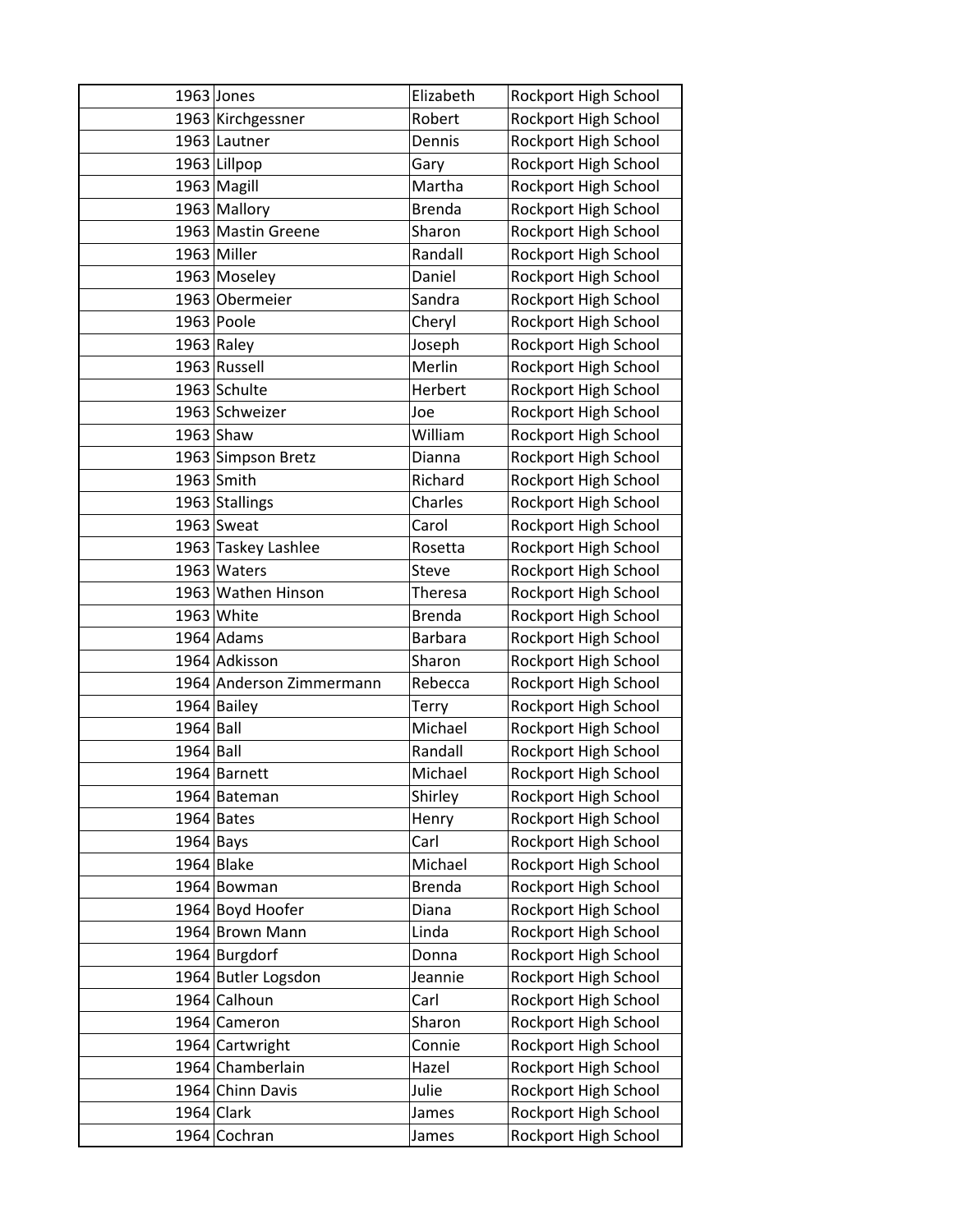|             | 1963 Jones               | Elizabeth      | Rockport High School |
|-------------|--------------------------|----------------|----------------------|
|             | 1963 Kirchgessner        | Robert         | Rockport High School |
|             | 1963 Lautner             | Dennis         | Rockport High School |
|             | 1963 Lillpop             | Gary           | Rockport High School |
|             | 1963 Magill              | Martha         | Rockport High School |
|             | 1963 Mallory             | <b>Brenda</b>  | Rockport High School |
|             | 1963 Mastin Greene       | Sharon         | Rockport High School |
|             | 1963 Miller              | Randall        | Rockport High School |
|             | 1963 Moseley             | Daniel         | Rockport High School |
|             | 1963 Obermeier           | Sandra         | Rockport High School |
|             | 1963 Poole               | Cheryl         | Rockport High School |
|             | $1963$ Raley             | Joseph         | Rockport High School |
|             | 1963 Russell             | Merlin         | Rockport High School |
|             | 1963 Schulte             | Herbert        | Rockport High School |
|             | 1963 Schweizer           | Joe            | Rockport High School |
|             | $1963$ Shaw              | William        | Rockport High School |
|             | 1963 Simpson Bretz       | Dianna         | Rockport High School |
|             | 1963 Smith               | Richard        | Rockport High School |
|             | 1963 Stallings           | Charles        | Rockport High School |
|             | 1963 Sweat               | Carol          | Rockport High School |
|             | 1963 Taskey Lashlee      | Rosetta        | Rockport High School |
|             | 1963 Waters              | <b>Steve</b>   | Rockport High School |
|             | 1963 Wathen Hinson       | Theresa        | Rockport High School |
|             | 1963 White               | <b>Brenda</b>  | Rockport High School |
|             | $1964$ Adams             | <b>Barbara</b> | Rockport High School |
|             | 1964 Adkisson            | Sharon         | Rockport High School |
|             | 1964 Anderson Zimmermann | Rebecca        | Rockport High School |
|             | 1964 Bailey              | Terry          | Rockport High School |
| $1964$ Ball |                          | Michael        | Rockport High School |
| 1964 Ball   |                          | Randall        | Rockport High School |
|             | 1964 Barnett             | Michael        | Rockport High School |
|             | 1964 Bateman             | Shirley        | Rockport High School |
|             | $1964$ Bates             | Henry          | Rockport High School |
| $1964$ Bays |                          | Carl           | Rockport High School |
|             | 1964 Blake               | Michael        | Rockport High School |
|             | 1964 Bowman              | <b>Brenda</b>  | Rockport High School |
|             | 1964 Boyd Hoofer         | Diana          | Rockport High School |
|             | 1964 Brown Mann          | Linda          | Rockport High School |
|             | 1964 Burgdorf            | Donna          | Rockport High School |
|             | 1964 Butler Logsdon      | Jeannie        | Rockport High School |
|             | 1964 Calhoun             | Carl           | Rockport High School |
|             | 1964 Cameron             | Sharon         | Rockport High School |
|             | 1964 Cartwright          | Connie         | Rockport High School |
|             | 1964 Chamberlain         | Hazel          | Rockport High School |
|             | 1964 Chinn Davis         | Julie          | Rockport High School |
|             | 1964 Clark               | James          | Rockport High School |
|             | 1964 Cochran             | James          | Rockport High School |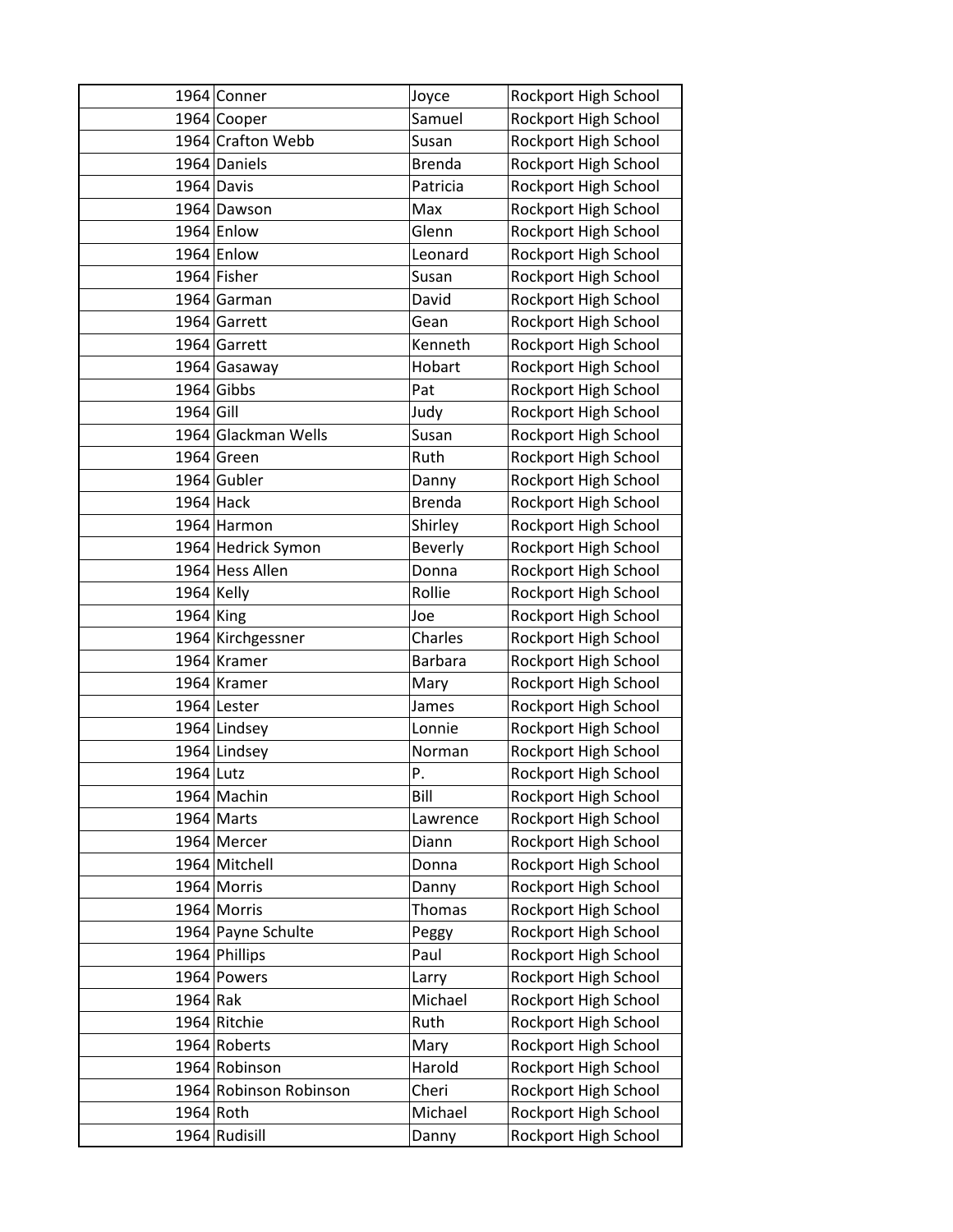|              | 1964 Conner            | Joyce          | Rockport High School |
|--------------|------------------------|----------------|----------------------|
|              | 1964 Cooper            | Samuel         | Rockport High School |
|              | 1964 Crafton Webb      | Susan          | Rockport High School |
|              | 1964 Daniels           | <b>Brenda</b>  | Rockport High School |
|              | 1964 Davis             | Patricia       | Rockport High School |
|              | 1964 Dawson            | Max            | Rockport High School |
|              | 1964 Enlow             | Glenn          | Rockport High School |
|              | 1964 Enlow             | Leonard        | Rockport High School |
|              | 1964 Fisher            | Susan          | Rockport High School |
|              | 1964 Garman            | David          | Rockport High School |
|              | 1964 Garrett           | Gean           | Rockport High School |
|              | 1964 Garrett           | Kenneth        | Rockport High School |
|              | 1964 Gasaway           | Hobart         | Rockport High School |
|              | $1964$ Gibbs           | Pat            | Rockport High School |
| 1964 Gill    |                        | Judy           | Rockport High School |
|              | 1964 Glackman Wells    | Susan          | Rockport High School |
|              | 1964 Green             | Ruth           | Rockport High School |
|              | 1964 Gubler            | Danny          | Rockport High School |
|              | $1964$ Hack            | <b>Brenda</b>  | Rockport High School |
|              | 1964 Harmon            | Shirley        | Rockport High School |
|              | 1964 Hedrick Symon     | <b>Beverly</b> | Rockport High School |
|              | 1964 Hess Allen        | Donna          | Rockport High School |
| $1964$ Kelly |                        | Rollie         | Rockport High School |
| $1964$ King  |                        | Joe            | Rockport High School |
|              | 1964 Kirchgessner      | Charles        | Rockport High School |
|              | 1964 Kramer            | <b>Barbara</b> | Rockport High School |
|              | 1964 Kramer            | Mary           | Rockport High School |
|              | 1964 Lester            | James          | Rockport High School |
|              | 1964 Lindsey           | Lonnie         | Rockport High School |
|              | 1964 Lindsey           | Norman         | Rockport High School |
| 1964 Lutz    |                        | Ρ.             | Rockport High School |
|              | 1964 Machin            | Bill           | Rockport High School |
|              | 1964 Marts             | Lawrence       | Rockport High School |
|              | 1964 Mercer            | Diann          | Rockport High School |
|              | 1964 Mitchell          | Donna          | Rockport High School |
|              | 1964 Morris            | Danny          | Rockport High School |
|              | 1964 Morris            | Thomas         | Rockport High School |
|              | 1964 Payne Schulte     | Peggy          | Rockport High School |
|              | 1964 Phillips          | Paul           | Rockport High School |
|              | 1964 Powers            | Larry          | Rockport High School |
| 1964 Rak     |                        | Michael        | Rockport High School |
|              | 1964 Ritchie           | Ruth           | Rockport High School |
|              | 1964 Roberts           | Mary           | Rockport High School |
|              | 1964 Robinson          | Harold         | Rockport High School |
|              | 1964 Robinson Robinson | Cheri          | Rockport High School |
|              | 1964 Roth              | Michael        | Rockport High School |
|              | 1964 Rudisill          | Danny          | Rockport High School |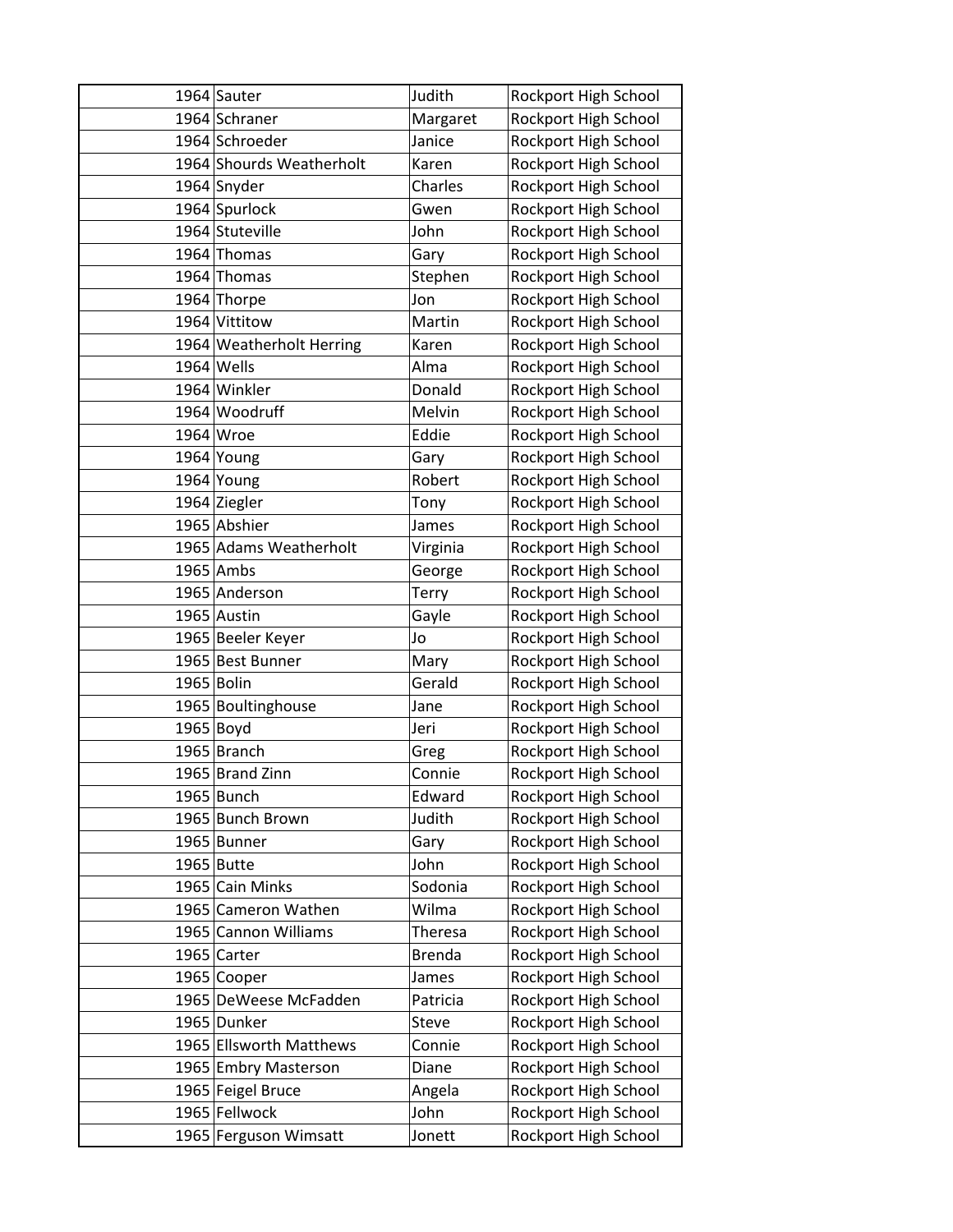| 1964 Sauter              | Judith        | Rockport High School |
|--------------------------|---------------|----------------------|
| 1964 Schraner            | Margaret      | Rockport High School |
| 1964 Schroeder           | Janice        | Rockport High School |
| 1964 Shourds Weatherholt | Karen         | Rockport High School |
| 1964 Snyder              | Charles       | Rockport High School |
| 1964 Spurlock            | Gwen          | Rockport High School |
| 1964 Stuteville          | John          | Rockport High School |
| 1964 Thomas              | Gary          | Rockport High School |
| 1964 Thomas              | Stephen       | Rockport High School |
| 1964 Thorpe              | Jon           | Rockport High School |
| 1964 Vittitow            | Martin        | Rockport High School |
| 1964 Weatherholt Herring | Karen         | Rockport High School |
| 1964 Wells               | Alma          | Rockport High School |
| 1964 Winkler             | Donald        | Rockport High School |
| 1964 Woodruff            | Melvin        | Rockport High School |
| 1964 Wroe                | Eddie         |                      |
|                          |               | Rockport High School |
| 1964 Young               | Gary          | Rockport High School |
| 1964 Young               | Robert        | Rockport High School |
| 1964 Ziegler             | Tony          | Rockport High School |
| 1965 Abshier             | James         | Rockport High School |
| 1965 Adams Weatherholt   | Virginia      | Rockport High School |
| $1965$ Ambs              | George        | Rockport High School |
| 1965 Anderson            | Terry         | Rockport High School |
| 1965 Austin              | Gayle         | Rockport High School |
| 1965 Beeler Keyer        | Jo            | Rockport High School |
| 1965 Best Bunner         | Mary          | Rockport High School |
| 1965 Bolin               | Gerald        | Rockport High School |
| 1965 Boultinghouse       | Jane          | Rockport High School |
| $1965$ Boyd              | Jeri          | Rockport High School |
| 1965 Branch              | Greg          | Rockport High School |
| 1965 Brand Zinn          | Connie        | Rockport High School |
| 1965 Bunch               | Edward        | Rockport High School |
| 1965 Bunch Brown         | Judith        | Rockport High School |
| 1965 Bunner              | Gary          | Rockport High School |
| $1965$ Butte             | John          | Rockport High School |
| 1965 Cain Minks          | Sodonia       | Rockport High School |
| 1965 Cameron Wathen      | Wilma         | Rockport High School |
| 1965 Cannon Williams     | Theresa       | Rockport High School |
| 1965 Carter              | <b>Brenda</b> | Rockport High School |
| 1965 Cooper              | James         | Rockport High School |
| 1965 DeWeese McFadden    | Patricia      | Rockport High School |
| 1965 Dunker              | Steve         | Rockport High School |
| 1965 Ellsworth Matthews  | Connie        | Rockport High School |
| 1965 Embry Masterson     | Diane         | Rockport High School |
|                          | Angela        | Rockport High School |
| 1965 Feigel Bruce        |               |                      |
| 1965 Fellwock            | John          | Rockport High School |
| 1965 Ferguson Wimsatt    | Jonett        | Rockport High School |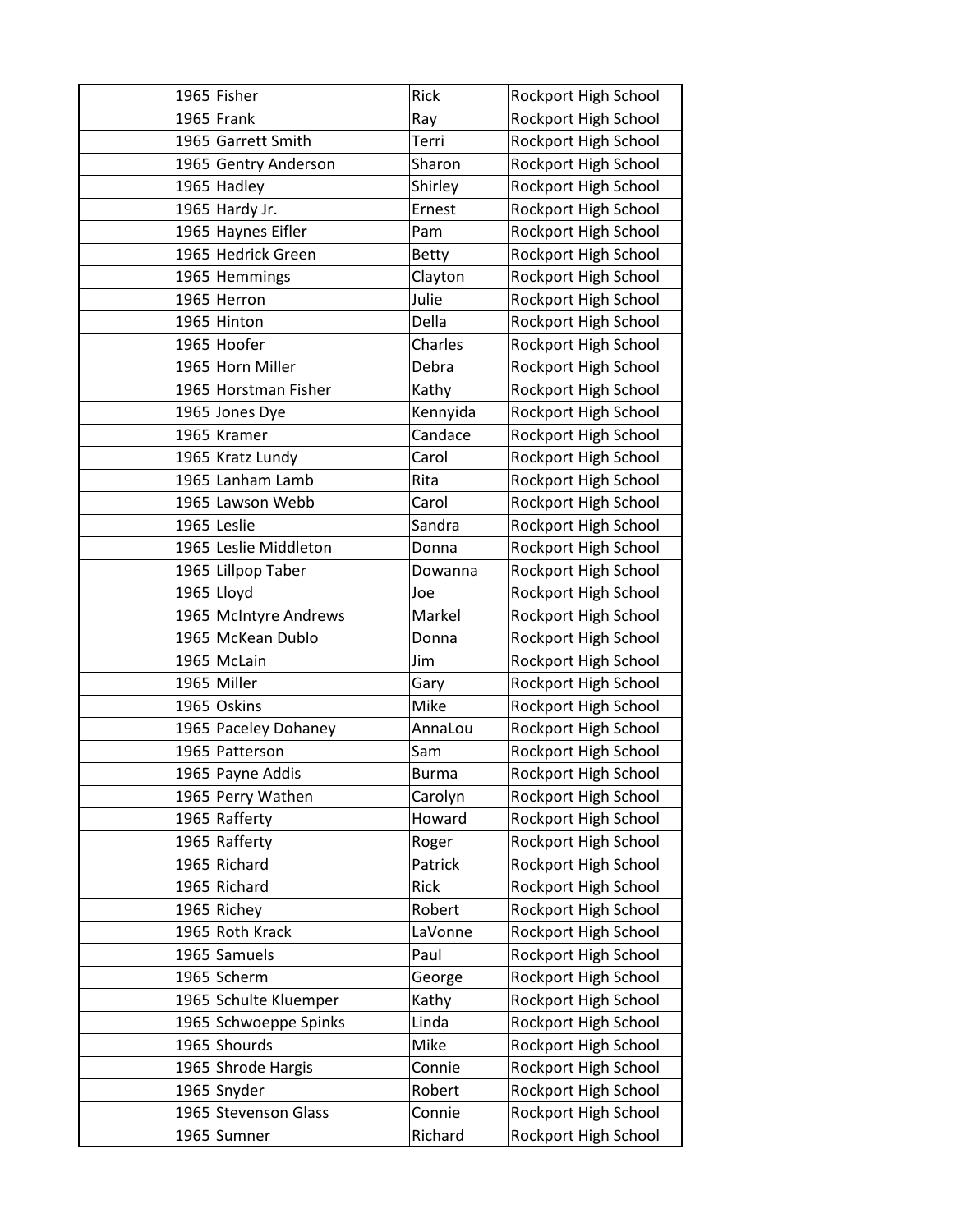| 1965 Fisher           | <b>Rick</b>  | Rockport High School |
|-----------------------|--------------|----------------------|
| $1965$ Frank          | Ray          | Rockport High School |
| 1965 Garrett Smith    | Terri        | Rockport High School |
| 1965 Gentry Anderson  | Sharon       | Rockport High School |
| 1965 Hadley           | Shirley      | Rockport High School |
| 1965 Hardy Jr.        | Ernest       | Rockport High School |
| 1965 Haynes Eifler    | Pam          | Rockport High School |
| 1965 Hedrick Green    | <b>Betty</b> | Rockport High School |
| 1965 Hemmings         | Clayton      | Rockport High School |
| 1965 Herron           | Julie        | Rockport High School |
| 1965 Hinton           | Della        | Rockport High School |
| 1965 Hoofer           | Charles      | Rockport High School |
| 1965 Horn Miller      | Debra        | Rockport High School |
| 1965 Horstman Fisher  | Kathy        | Rockport High School |
| 1965 Jones Dye        | Kennyida     | Rockport High School |
| 1965 Kramer           | Candace      | Rockport High School |
| 1965 Kratz Lundy      | Carol        | Rockport High School |
| 1965 Lanham Lamb      | Rita         | Rockport High School |
| 1965 Lawson Webb      | Carol        | Rockport High School |
| 1965 Leslie           | Sandra       | Rockport High School |
| 1965 Leslie Middleton | Donna        | Rockport High School |
| 1965 Lillpop Taber    | Dowanna      | Rockport High School |
| 1965 Lloyd            | Joe          | Rockport High School |
| 1965 McIntyre Andrews | Markel       | Rockport High School |
| 1965 McKean Dublo     | Donna        | Rockport High School |
| 1965 McLain           | Jim          | Rockport High School |
| 1965 Miller           | Gary         | Rockport High School |
| 1965 Oskins           | Mike         | Rockport High School |
| 1965 Paceley Dohaney  | AnnaLou      | Rockport High School |
| 1965 Patterson        | Sam          | Rockport High School |
| 1965 Payne Addis      | <b>Burma</b> | Rockport High School |
| 1965 Perry Wathen     | Carolyn      | Rockport High School |
| 1965 Rafferty         | Howard       | Rockport High School |
| 1965 Rafferty         | Roger        | Rockport High School |
| 1965 Richard          | Patrick      | Rockport High School |
| 1965 Richard          | Rick         | Rockport High School |
| 1965 Richey           | Robert       | Rockport High School |
| 1965 Roth Krack       | LaVonne      | Rockport High School |
| 1965 Samuels          | Paul         | Rockport High School |
| 1965 Scherm           | George       | Rockport High School |
| 1965 Schulte Kluemper | Kathy        | Rockport High School |
| 1965 Schwoeppe Spinks | Linda        | Rockport High School |
| 1965 Shourds          | Mike         | Rockport High School |
| 1965 Shrode Hargis    | Connie       | Rockport High School |
| 1965 Snyder           | Robert       | Rockport High School |
| 1965 Stevenson Glass  | Connie       | Rockport High School |
| 1965 Sumner           | Richard      | Rockport High School |
|                       |              |                      |